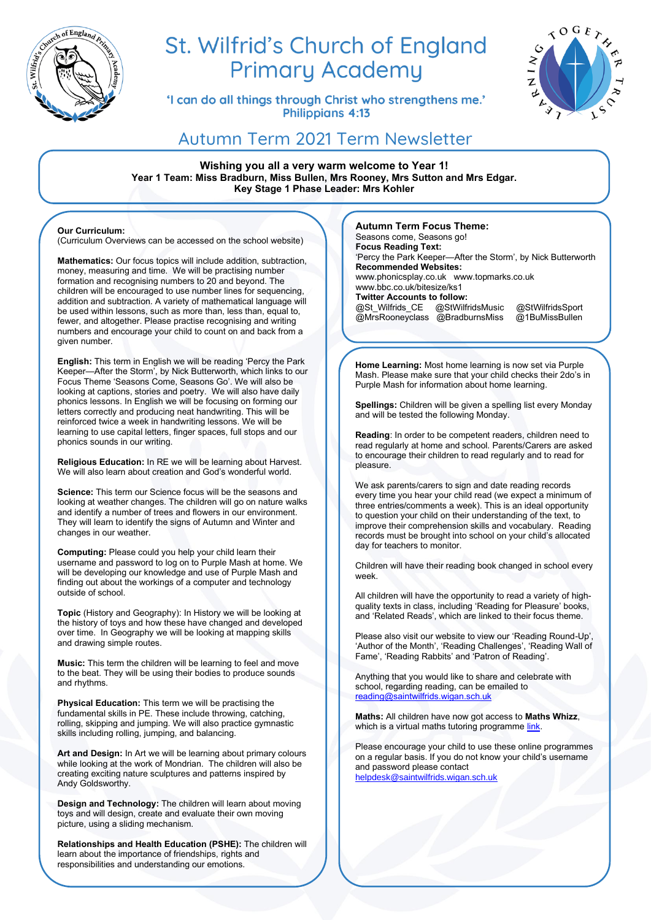

# St. Wilfrid's Church of England **Primary Academy**

'I can do all things through Christ who strengthens me.' Philippians 4:13



# Autumn Term 2021 Term Newsletter

**Wishing you all a very warm welcome to Year 1! Year 1 Team: Miss Bradburn, Miss Bullen, Mrs Rooney, Mrs Sutton and Mrs Edgar. Key Stage 1 Phase Leader: Mrs Kohler**

#### **Our Curriculum:**

(Curriculum Overviews can be accessed on the school website)

**Mathematics:** Our focus topics will include addition, subtraction, money, measuring and time. We will be practising number formation and recognising numbers to 20 and beyond. The children will be encouraged to use number lines for sequencing, addition and subtraction. A variety of mathematical language will be used within lessons, such as more than, less than, equal to, fewer, and altogether. Please practise recognising and writing numbers and encourage your child to count on and back from a given number.

**English:** This term in English we will be reading 'Percy the Park Keeper—After the Storm', by Nick Butterworth, which links to our Focus Theme 'Seasons Come, Seasons Go'. We will also be looking at captions, stories and poetry. We will also have daily phonics lessons. In English we will be focusing on forming our letters correctly and producing neat handwriting. This will be reinforced twice a week in handwriting lessons. We will be learning to use capital letters, finger spaces, full stops and our phonics sounds in our writing.

**Religious Education:** In RE we will be learning about Harvest. We will also learn about creation and God's wonderful world.

**Science:** This term our Science focus will be the seasons and looking at weather changes. The children will go on nature walks and identify a number of trees and flowers in our environment. They will learn to identify the signs of Autumn and Winter and changes in our weather.

**Computing:** Please could you help your child learn their username and password to log on to Purple Mash at home. We will be developing our knowledge and use of Purple Mash and finding out about the workings of a computer and technology outside of school.

**Topic** (History and Geography): In History we will be looking at the history of toys and how these have changed and developed over time. In Geography we will be looking at mapping skills and drawing simple routes.

**Music:** This term the children will be learning to feel and move to the beat. They will be using their bodies to produce sounds and rhythms.

**Physical Education:** This term we will be practising the fundamental skills in PE. These include throwing, catching, rolling, skipping and jumping. We will also practice gymnastic skills including rolling, jumping, and balancing.

**Art and Design:** In Art we will be learning about primary colours while looking at the work of Mondrian. The children will also be creating exciting nature sculptures and patterns inspired by Andy Goldsworthy.

**Design and Technology:** The children will learn about moving toys and will design, create and evaluate their own moving picture, using a sliding mechanism.

**Relationships and Health Education (PSHE):** The children will learn about the importance of friendships, rights and responsibilities and understanding our emotions.

**Autumn Term Focus Theme:** 

Seasons come, Seasons go! **Focus Reading Text:**  'Percy the Park Keeper—After the Storm', by Nick Butterworth **Recommended Websites:** www.phonicsplay.co.uk www.topmarks.co.uk www.bbc.co.uk/bitesize/ks1 **Twitter Accounts to follow:**  @St\_Wilfrids\_CE @StWilfridsMusic @StWilfridsSport<br>@MrsRooneyclass @BradburnsMiss @1BuMissBullen  $@$ MrsRooneyclass  $@$ BradburnsMiss

**Home Learning:** Most home learning is now set via Purple Mash. Please make sure that your child checks their 2do's in Purple Mash for information about home learning.

**Spellings:** Children will be given a spelling list every Monday and will be tested the following Monday.

**Reading**: In order to be competent readers, children need to read regularly at home and school. Parents/Carers are asked to encourage their children to read regularly and to read for pleasure.

We ask parents/carers to sign and date reading records every time you hear your child read (we expect a minimum of three entries/comments a week). This is an ideal opportunity to question your child on their understanding of the text, to improve their comprehension skills and vocabulary. Reading records must be brought into school on your child's allocated day for teachers to monitor.

Children will have their reading book changed in school every week.

All children will have the opportunity to read a variety of highquality texts in class, including 'Reading for Pleasure' books, and 'Related Reads', which are linked to their focus theme.

Please also visit our website to view our 'Reading Round-Up', 'Author of the Month', 'Reading Challenges', 'Reading Wall of Fame', 'Reading Rabbits' and 'Patron of Reading'.

Anything that you would like to share and celebrate with school, regarding reading, can be emailed to [reading@saintwilfrids.wigan.sch.uk](mailto:reading@saintwilfrids.wigan.sch.uk)

**Maths:** All children have now got access to **Maths Whizz**, which is a virtual maths tutoring programme [link.](https://www.whizz.com/login/)

Please encourage your child to use these online programmes on a regular basis. If you do not know your child's username and password please contact [helpdesk@saintwilfrids.wigan.sch.uk](mailto:helpdesk@saintwilfrids.wigan.sch.uk)